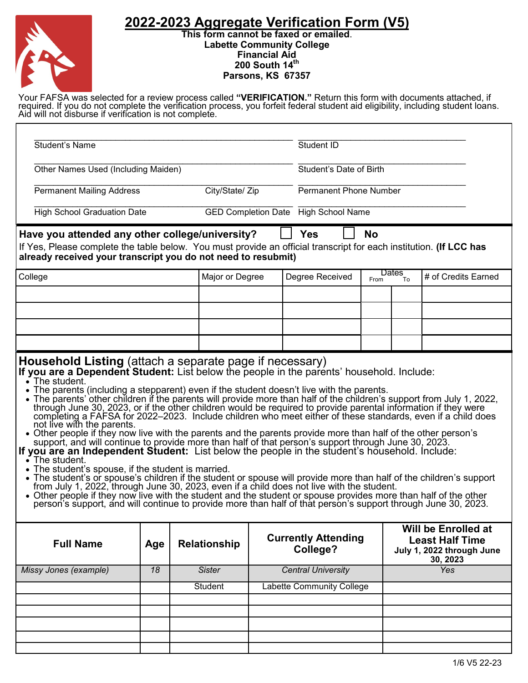## **2022-2023 Aggregate Verification Form (V5)**



**This form cannot be faxed or emailed**. **Labette Community College Financial Aid 200 South 14th Parsons, KS 67357**

Your FAFSA was selected for a review process called **"VERIFICATION."** Return this form with documents attached, if required. If you do not complete the verification process, you forfeit federal student aid eligibility, including student loans. Aid will not disburse if verification is not complete.

| <b>Student's Name</b>                                                                                                                                                                                                                                                                                                                                                                                                                                                                                                                                                                                                                                                                                                                                                                                                                                                                                                                                                                                                                                                                                                                                                                                                                                                                                                                                              |                 |                 |                                      |                                  | Student ID                             |      |                    |                     |                                                                                               |
|--------------------------------------------------------------------------------------------------------------------------------------------------------------------------------------------------------------------------------------------------------------------------------------------------------------------------------------------------------------------------------------------------------------------------------------------------------------------------------------------------------------------------------------------------------------------------------------------------------------------------------------------------------------------------------------------------------------------------------------------------------------------------------------------------------------------------------------------------------------------------------------------------------------------------------------------------------------------------------------------------------------------------------------------------------------------------------------------------------------------------------------------------------------------------------------------------------------------------------------------------------------------------------------------------------------------------------------------------------------------|-----------------|-----------------|--------------------------------------|----------------------------------|----------------------------------------|------|--------------------|---------------------|-----------------------------------------------------------------------------------------------|
| Other Names Used (Including Maiden)                                                                                                                                                                                                                                                                                                                                                                                                                                                                                                                                                                                                                                                                                                                                                                                                                                                                                                                                                                                                                                                                                                                                                                                                                                                                                                                                |                 |                 |                                      |                                  | Student's Date of Birth                |      |                    |                     |                                                                                               |
| <b>Permanent Mailing Address</b>                                                                                                                                                                                                                                                                                                                                                                                                                                                                                                                                                                                                                                                                                                                                                                                                                                                                                                                                                                                                                                                                                                                                                                                                                                                                                                                                   |                 |                 | City/State/ Zip                      | <b>Permanent Phone Number</b>    |                                        |      |                    |                     |                                                                                               |
| <b>High School Graduation Date</b>                                                                                                                                                                                                                                                                                                                                                                                                                                                                                                                                                                                                                                                                                                                                                                                                                                                                                                                                                                                                                                                                                                                                                                                                                                                                                                                                 |                 |                 | GED Completion Date High School Name |                                  |                                        |      |                    |                     |                                                                                               |
| Have you attended any other college/university?                                                                                                                                                                                                                                                                                                                                                                                                                                                                                                                                                                                                                                                                                                                                                                                                                                                                                                                                                                                                                                                                                                                                                                                                                                                                                                                    |                 |                 |                                      |                                  | <b>Yes</b>                             |      | <b>No</b>          |                     |                                                                                               |
| If Yes, Please complete the table below. You must provide an official transcript for each institution. (If LCC has<br>already received your transcript you do not need to resubmit)                                                                                                                                                                                                                                                                                                                                                                                                                                                                                                                                                                                                                                                                                                                                                                                                                                                                                                                                                                                                                                                                                                                                                                                |                 |                 |                                      |                                  |                                        |      |                    |                     |                                                                                               |
| College                                                                                                                                                                                                                                                                                                                                                                                                                                                                                                                                                                                                                                                                                                                                                                                                                                                                                                                                                                                                                                                                                                                                                                                                                                                                                                                                                            |                 | Major or Degree |                                      |                                  | Degree Received                        | From | <b>Dates</b><br>To | # of Credits Earned |                                                                                               |
|                                                                                                                                                                                                                                                                                                                                                                                                                                                                                                                                                                                                                                                                                                                                                                                                                                                                                                                                                                                                                                                                                                                                                                                                                                                                                                                                                                    |                 |                 |                                      |                                  |                                        |      |                    |                     |                                                                                               |
|                                                                                                                                                                                                                                                                                                                                                                                                                                                                                                                                                                                                                                                                                                                                                                                                                                                                                                                                                                                                                                                                                                                                                                                                                                                                                                                                                                    |                 |                 |                                      |                                  |                                        |      |                    |                     |                                                                                               |
|                                                                                                                                                                                                                                                                                                                                                                                                                                                                                                                                                                                                                                                                                                                                                                                                                                                                                                                                                                                                                                                                                                                                                                                                                                                                                                                                                                    |                 |                 |                                      |                                  |                                        |      |                    |                     |                                                                                               |
|                                                                                                                                                                                                                                                                                                                                                                                                                                                                                                                                                                                                                                                                                                                                                                                                                                                                                                                                                                                                                                                                                                                                                                                                                                                                                                                                                                    |                 |                 |                                      |                                  |                                        |      |                    |                     |                                                                                               |
| $\cdot$ The student.<br>The parents (including a stepparent) even if the student doesn't live with the parents.<br>• The parents' other children if the parents will provide more than half of the children's support from July 1, 2022,<br>through June 30, 2023, or if the other children would be required to provide parental information if they were<br>completing a FAFSA for 2022-2023. Include children who meet either of these standards, even if a child does<br>not live with the parents.<br>• Other people if they now live with the parents and the parents provide more than half of the other person's<br>support, and will continue to provide more than half of that person's support through June 30, 2023.<br>If you are an Independent Student: List below the people in the student's household. Include:<br>$\cdot$ The student.<br>• The student's spouse, if the student is married.<br>The student's or spouse's children if the student or spouse will provide more than half of the children's support from July 1, 2022, through June 30, 2023, even if a child does not live with the student.<br>• Other people if they now live with the student and the student or spouse provides more than half of the other<br>person's support, and will continue to provide more than half of that person's support through June 30, 2023. |                 |                 |                                      |                                  |                                        |      |                    |                     |                                                                                               |
| <b>Full Name</b>                                                                                                                                                                                                                                                                                                                                                                                                                                                                                                                                                                                                                                                                                                                                                                                                                                                                                                                                                                                                                                                                                                                                                                                                                                                                                                                                                   | Age             |                 | <b>Relationship</b>                  |                                  | <b>Currently Attending</b><br>College? |      |                    |                     | <b>Will be Enrolled at</b><br><b>Least Half Time</b><br>July 1, 2022 through June<br>30, 2023 |
| Missy Jones (example)                                                                                                                                                                                                                                                                                                                                                                                                                                                                                                                                                                                                                                                                                                                                                                                                                                                                                                                                                                                                                                                                                                                                                                                                                                                                                                                                              | $\overline{18}$ |                 | <b>Sister</b>                        |                                  | <b>Central University</b>              |      |                    |                     | <b>Yes</b>                                                                                    |
|                                                                                                                                                                                                                                                                                                                                                                                                                                                                                                                                                                                                                                                                                                                                                                                                                                                                                                                                                                                                                                                                                                                                                                                                                                                                                                                                                                    |                 |                 | Student                              | <b>Labette Community College</b> |                                        |      |                    |                     |                                                                                               |
|                                                                                                                                                                                                                                                                                                                                                                                                                                                                                                                                                                                                                                                                                                                                                                                                                                                                                                                                                                                                                                                                                                                                                                                                                                                                                                                                                                    |                 |                 |                                      |                                  |                                        |      |                    |                     |                                                                                               |
|                                                                                                                                                                                                                                                                                                                                                                                                                                                                                                                                                                                                                                                                                                                                                                                                                                                                                                                                                                                                                                                                                                                                                                                                                                                                                                                                                                    |                 |                 |                                      |                                  |                                        |      |                    |                     |                                                                                               |
|                                                                                                                                                                                                                                                                                                                                                                                                                                                                                                                                                                                                                                                                                                                                                                                                                                                                                                                                                                                                                                                                                                                                                                                                                                                                                                                                                                    |                 |                 |                                      |                                  |                                        |      |                    |                     |                                                                                               |
|                                                                                                                                                                                                                                                                                                                                                                                                                                                                                                                                                                                                                                                                                                                                                                                                                                                                                                                                                                                                                                                                                                                                                                                                                                                                                                                                                                    |                 |                 |                                      |                                  |                                        |      |                    |                     | 1/6 V5 22-23                                                                                  |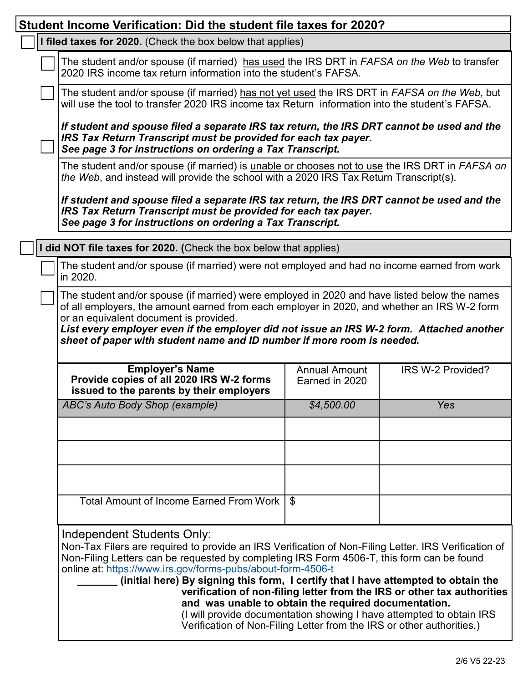| Student Income Verification: Did the student file taxes for 2020?                                                                                                                                                                                                                                                                                                                                                                                                                                                                                                                                                                                                        |            |     |  |  |  |  |
|--------------------------------------------------------------------------------------------------------------------------------------------------------------------------------------------------------------------------------------------------------------------------------------------------------------------------------------------------------------------------------------------------------------------------------------------------------------------------------------------------------------------------------------------------------------------------------------------------------------------------------------------------------------------------|------------|-----|--|--|--|--|
| I filed taxes for 2020. (Check the box below that applies)                                                                                                                                                                                                                                                                                                                                                                                                                                                                                                                                                                                                               |            |     |  |  |  |  |
| The student and/or spouse (if married) has used the IRS DRT in FAFSA on the Web to transfer<br>2020 IRS income tax return information into the student's FAFSA.                                                                                                                                                                                                                                                                                                                                                                                                                                                                                                          |            |     |  |  |  |  |
| The student and/or spouse (if married) has not yet used the IRS DRT in FAFSA on the Web, but<br>will use the tool to transfer 2020 IRS income tax Return information into the student's FAFSA.                                                                                                                                                                                                                                                                                                                                                                                                                                                                           |            |     |  |  |  |  |
| If student and spouse filed a separate IRS tax return, the IRS DRT cannot be used and the<br>IRS Tax Return Transcript must be provided for each tax payer.                                                                                                                                                                                                                                                                                                                                                                                                                                                                                                              |            |     |  |  |  |  |
| See page 3 for instructions on ordering a Tax Transcript.<br>The student and/or spouse (if married) is unable or chooses not to use the IRS DRT in FAFSA on<br>the Web, and instead will provide the school with a 2020 IRS Tax Return Transcript(s).                                                                                                                                                                                                                                                                                                                                                                                                                    |            |     |  |  |  |  |
| If student and spouse filed a separate IRS tax return, the IRS DRT cannot be used and the<br>IRS Tax Return Transcript must be provided for each tax payer.<br>See page 3 for instructions on ordering a Tax Transcript.                                                                                                                                                                                                                                                                                                                                                                                                                                                 |            |     |  |  |  |  |
| did NOT file taxes for 2020. (Check the box below that applies)                                                                                                                                                                                                                                                                                                                                                                                                                                                                                                                                                                                                          |            |     |  |  |  |  |
| The student and/or spouse (if married) were not employed and had no income earned from work<br>in 2020.                                                                                                                                                                                                                                                                                                                                                                                                                                                                                                                                                                  |            |     |  |  |  |  |
| The student and/or spouse (if married) were employed in 2020 and have listed below the names<br>of all employers, the amount earned from each employer in 2020, and whether an IRS W-2 form<br>or an equivalent document is provided.<br>List every employer even if the employer did not issue an IRS W-2 form. Attached another<br>sheet of paper with student name and ID number if more room is needed.                                                                                                                                                                                                                                                              |            |     |  |  |  |  |
| <b>Employer's Name</b><br>IRS W-2 Provided?<br><b>Annual Amount</b><br>Provide copies of all 2020 IRS W-2 forms<br>Earned in 2020<br>issued to the parents by their employers                                                                                                                                                                                                                                                                                                                                                                                                                                                                                            |            |     |  |  |  |  |
| ABC's Auto Body Shop (example)                                                                                                                                                                                                                                                                                                                                                                                                                                                                                                                                                                                                                                           | \$4,500.00 | Yes |  |  |  |  |
|                                                                                                                                                                                                                                                                                                                                                                                                                                                                                                                                                                                                                                                                          |            |     |  |  |  |  |
|                                                                                                                                                                                                                                                                                                                                                                                                                                                                                                                                                                                                                                                                          |            |     |  |  |  |  |
|                                                                                                                                                                                                                                                                                                                                                                                                                                                                                                                                                                                                                                                                          |            |     |  |  |  |  |
| <b>Total Amount of Income Earned From Work</b>                                                                                                                                                                                                                                                                                                                                                                                                                                                                                                                                                                                                                           | \$         |     |  |  |  |  |
| Independent Students Only:<br>Non-Tax Filers are required to provide an IRS Verification of Non-Filing Letter. IRS Verification of<br>Non-Filing Letters can be requested by completing IRS Form 4506-T, this form can be found<br>online at: https://www.irs.gov/forms-pubs/about-form-4506-t<br>(initial here) By signing this form, I certify that I have attempted to obtain the<br>verification of non-filing letter from the IRS or other tax authorities<br>and was unable to obtain the required documentation.<br>(I will provide documentation showing I have attempted to obtain IRS<br>Verification of Non-Filing Letter from the IRS or other authorities.) |            |     |  |  |  |  |

٦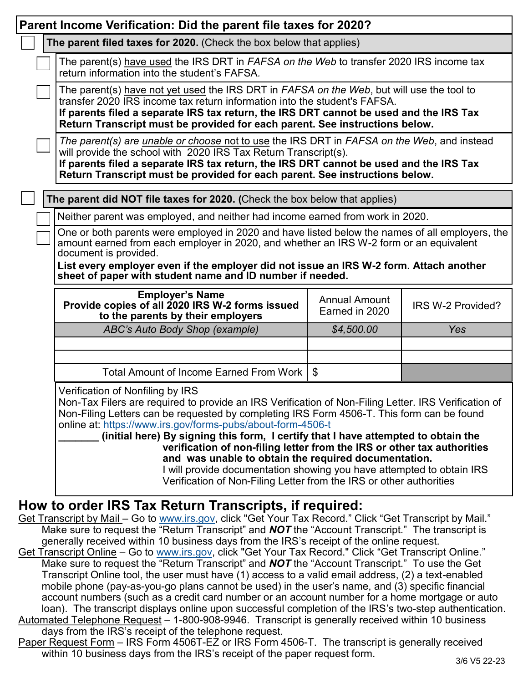| Parent Income Verification: Did the parent file taxes for 2020?                                                                                                                                                                                                                                                                                                                                                                                                                                                                                                                                                                                                               |                                                                                                                                                                                                                                                                                                                                                 |                                        |                   |  |  |  |
|-------------------------------------------------------------------------------------------------------------------------------------------------------------------------------------------------------------------------------------------------------------------------------------------------------------------------------------------------------------------------------------------------------------------------------------------------------------------------------------------------------------------------------------------------------------------------------------------------------------------------------------------------------------------------------|-------------------------------------------------------------------------------------------------------------------------------------------------------------------------------------------------------------------------------------------------------------------------------------------------------------------------------------------------|----------------------------------------|-------------------|--|--|--|
|                                                                                                                                                                                                                                                                                                                                                                                                                                                                                                                                                                                                                                                                               | The parent filed taxes for 2020. (Check the box below that applies)                                                                                                                                                                                                                                                                             |                                        |                   |  |  |  |
|                                                                                                                                                                                                                                                                                                                                                                                                                                                                                                                                                                                                                                                                               | The parent(s) have used the IRS DRT in FAFSA on the Web to transfer 2020 IRS income tax<br>return information into the student's FAFSA.                                                                                                                                                                                                         |                                        |                   |  |  |  |
|                                                                                                                                                                                                                                                                                                                                                                                                                                                                                                                                                                                                                                                                               | The parent(s) have not yet used the IRS DRT in FAFSA on the Web, but will use the tool to<br>transfer 2020 IRS income tax return information into the student's FAFSA.<br>If parents filed a separate IRS tax return, the IRS DRT cannot be used and the IRS Tax<br>Return Transcript must be provided for each parent. See instructions below. |                                        |                   |  |  |  |
|                                                                                                                                                                                                                                                                                                                                                                                                                                                                                                                                                                                                                                                                               | The parent(s) are <i>unable or choose not to use the IRS DRT in FAFSA on the Web</i> , and instead<br>will provide the school with 2020 IRS Tax Return Transcript(s).<br>If parents filed a separate IRS tax return, the IRS DRT cannot be used and the IRS Tax<br>Return Transcript must be provided for each parent. See instructions below.  |                                        |                   |  |  |  |
|                                                                                                                                                                                                                                                                                                                                                                                                                                                                                                                                                                                                                                                                               | The parent did NOT file taxes for 2020. (Check the box below that applies)                                                                                                                                                                                                                                                                      |                                        |                   |  |  |  |
|                                                                                                                                                                                                                                                                                                                                                                                                                                                                                                                                                                                                                                                                               | Neither parent was employed, and neither had income earned from work in 2020.                                                                                                                                                                                                                                                                   |                                        |                   |  |  |  |
|                                                                                                                                                                                                                                                                                                                                                                                                                                                                                                                                                                                                                                                                               | One or both parents were employed in 2020 and have listed below the names of all employers, the<br>amount earned from each employer in 2020, and whether an IRS W-2 form or an equivalent<br>document is provided.                                                                                                                              |                                        |                   |  |  |  |
|                                                                                                                                                                                                                                                                                                                                                                                                                                                                                                                                                                                                                                                                               | List every employer even if the employer did not issue an IRS W-2 form. Attach another<br>sheet of paper with student name and ID number if needed.                                                                                                                                                                                             |                                        |                   |  |  |  |
|                                                                                                                                                                                                                                                                                                                                                                                                                                                                                                                                                                                                                                                                               | <b>Employer's Name</b><br>Provide copies of all 2020 IRS W-2 forms issued<br>to the parents by their employers                                                                                                                                                                                                                                  | <b>Annual Amount</b><br>Earned in 2020 | IRS W-2 Provided? |  |  |  |
|                                                                                                                                                                                                                                                                                                                                                                                                                                                                                                                                                                                                                                                                               | ABC's Auto Body Shop (example)                                                                                                                                                                                                                                                                                                                  | \$4,500.00                             | Yes               |  |  |  |
|                                                                                                                                                                                                                                                                                                                                                                                                                                                                                                                                                                                                                                                                               |                                                                                                                                                                                                                                                                                                                                                 |                                        |                   |  |  |  |
|                                                                                                                                                                                                                                                                                                                                                                                                                                                                                                                                                                                                                                                                               | Total Amount of Income Earned From Work                                                                                                                                                                                                                                                                                                         | $\mathfrak{L}$                         |                   |  |  |  |
| Verification of Nonfiling by IRS<br>Non-Tax Filers are required to provide an IRS Verification of Non-Filing Letter. IRS Verification of<br>Non-Filing Letters can be requested by completing IRS Form 4506-T. This form can be found<br>online at: https://www.irs.gov/forms-pubs/about-form-4506-t<br>(initial here) By signing this form, I certify that I have attempted to obtain the<br>verification of non-filing letter from the IRS or other tax authorities<br>and was unable to obtain the required documentation.<br>I will provide documentation showing you have attempted to obtain IRS<br>Verification of Non-Filing Letter from the IRS or other authorities |                                                                                                                                                                                                                                                                                                                                                 |                                        |                   |  |  |  |
| How to order IRS Tax Return Transcripts, if required:<br>Get Transcript by Mail - Go to www.irs.gov, click "Get Your Tax Record." Click "Get Transcript by Mail."<br>Make sure to request the "Return Transcript" and <b>NOT</b> the "Account Transcript." The transcript is<br>generally received within 10 business days from the IRS's receipt of the online request.<br>Get Transcript Online – Go to www irs gov click "Get Your Tax Record " Click "Get Transcript Online "                                                                                                                                                                                             |                                                                                                                                                                                                                                                                                                                                                 |                                        |                   |  |  |  |

- Get Transcript Online Go to [www.irs.gov,](http://www.irs.gov) click "Get Your Tax Record." Click "Get Transcript Online." Make sure to request the "Return Transcript" and *NOT* the "Account Transcript." To use the Get Transcript Online tool, the user must have (1) access to a valid email address, (2) a text-enabled mobile phone (pay-as-you-go plans cannot be used) in the user's name, and (3) specific financial account numbers (such as a credit card number or an account number for a home mortgage or auto loan). The transcript displays online upon successful completion of the IRS's two-step authentication. Automated Telephone Request – 1-800-908-9946. Transcript is generally received within 10 business
- days from the IRS's receipt of the telephone request.
- Paper Request Form IRS Form 4506T-EZ or IRS Form 4506-T. The transcript is generally received within 10 business days from the IRS's receipt of the paper request form.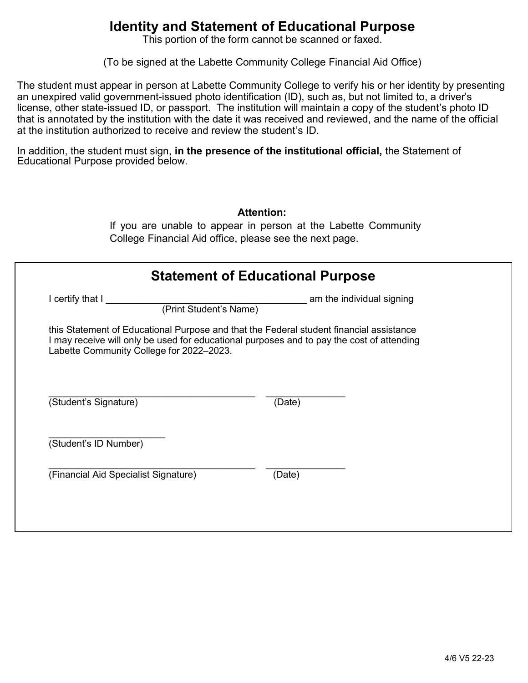## **Identity and Statement of Educational Purpose**

This portion of the form cannot be scanned or faxed.

(To be signed at the Labette Community College Financial Aid Office)

The student must appear in person at Labette Community College to verify his or her identity by presenting an unexpired valid government-issued photo identification (ID), such as, but not limited to, a driver's license, other state-issued ID, or passport. The institution will maintain a copy of the student's photo ID that is annotated by the institution with the date it was received and reviewed, and the name of the official at the institution authorized to receive and review the student's ID.

In addition, the student must sign, **in the presence of the institutional official,** the Statement of Educational Purpose provided below.

|                                            | <b>Statement of Educational Purpose</b>                                                   |
|--------------------------------------------|-------------------------------------------------------------------------------------------|
| I certify that I<br>(Print Student's Name) | am the individual signing                                                                 |
| Labette Community College for 2022-2023.   | I may receive will only be used for educational purposes and to pay the cost of attending |
| (Student's Signature)                      | (Date)                                                                                    |
|                                            |                                                                                           |
| (Student's ID Number)                      |                                                                                           |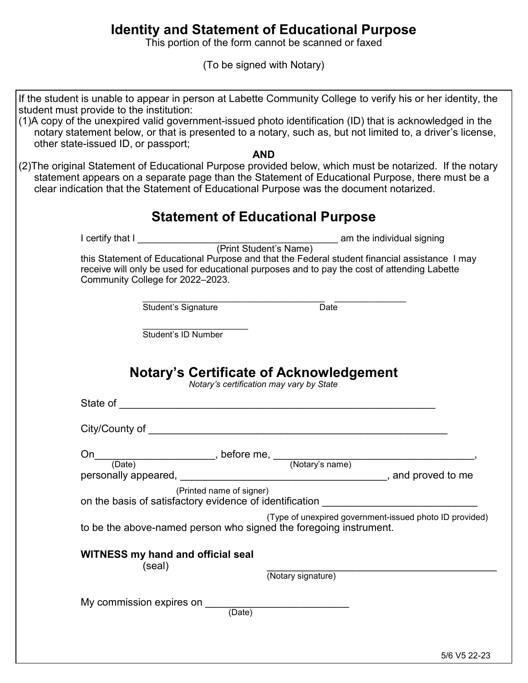## **Identity and Statement of Educational Purpose**

This portion of the form cannot be scanned or faxed

(To be signed with Notary)

| If the student is unable to appear in person at Labette Community College to verify his or her identity, the<br>student must provide to the institution:                                                                                                                                              |
|-------------------------------------------------------------------------------------------------------------------------------------------------------------------------------------------------------------------------------------------------------------------------------------------------------|
| (1)A copy of the unexpired valid government-issued photo identification (ID) that is acknowledged in the<br>notary statement below, or that is presented to a notary, such as, but not limited to, a driver's license,<br>other state-issued ID, or passport;                                         |
| <b>AND</b>                                                                                                                                                                                                                                                                                            |
| (2) The original Statement of Educational Purpose provided below, which must be notarized. If the notary<br>statement appears on a separate page than the Statement of Educational Purpose, there must be a<br>clear indication that the Statement of Educational Purpose was the document notarized. |
| <b>Statement of Educational Purpose</b>                                                                                                                                                                                                                                                               |
|                                                                                                                                                                                                                                                                                                       |
| this Statement of Educational Purpose and that the Federal student financial assistance I may<br>receive will only be used for educational purposes and to pay the cost of attending Labette<br>Community College for 2022-2023.                                                                      |
| $\overline{$ Date<br>Student's Signature                                                                                                                                                                                                                                                              |
|                                                                                                                                                                                                                                                                                                       |
| Student's ID Number                                                                                                                                                                                                                                                                                   |
|                                                                                                                                                                                                                                                                                                       |
| <b>Notary's Certificate of Acknowledgement</b><br>Notary's certification may vary by State<br>State of                                                                                                                                                                                                |
| City/County of                                                                                                                                                                                                                                                                                        |
|                                                                                                                                                                                                                                                                                                       |
| On<br>$,$ before me, $\_$<br>(Notary's name)<br>(Date)                                                                                                                                                                                                                                                |
| personally appeared,<br>$\_$ , and proved to me                                                                                                                                                                                                                                                       |
| (Printed name of signer)<br>on the basis of satisfactory evidence of identification ________________________                                                                                                                                                                                          |
| (Type of unexpired government-issued photo ID provided)                                                                                                                                                                                                                                               |
| to be the above-named person who signed the foregoing instrument.                                                                                                                                                                                                                                     |
| <b>WITNESS my hand and official seal</b><br>(seal)                                                                                                                                                                                                                                                    |
| (Notary signature)                                                                                                                                                                                                                                                                                    |
|                                                                                                                                                                                                                                                                                                       |
| My commission expires on ____<br>$\overline{(Date)}$                                                                                                                                                                                                                                                  |
|                                                                                                                                                                                                                                                                                                       |
|                                                                                                                                                                                                                                                                                                       |
|                                                                                                                                                                                                                                                                                                       |
|                                                                                                                                                                                                                                                                                                       |